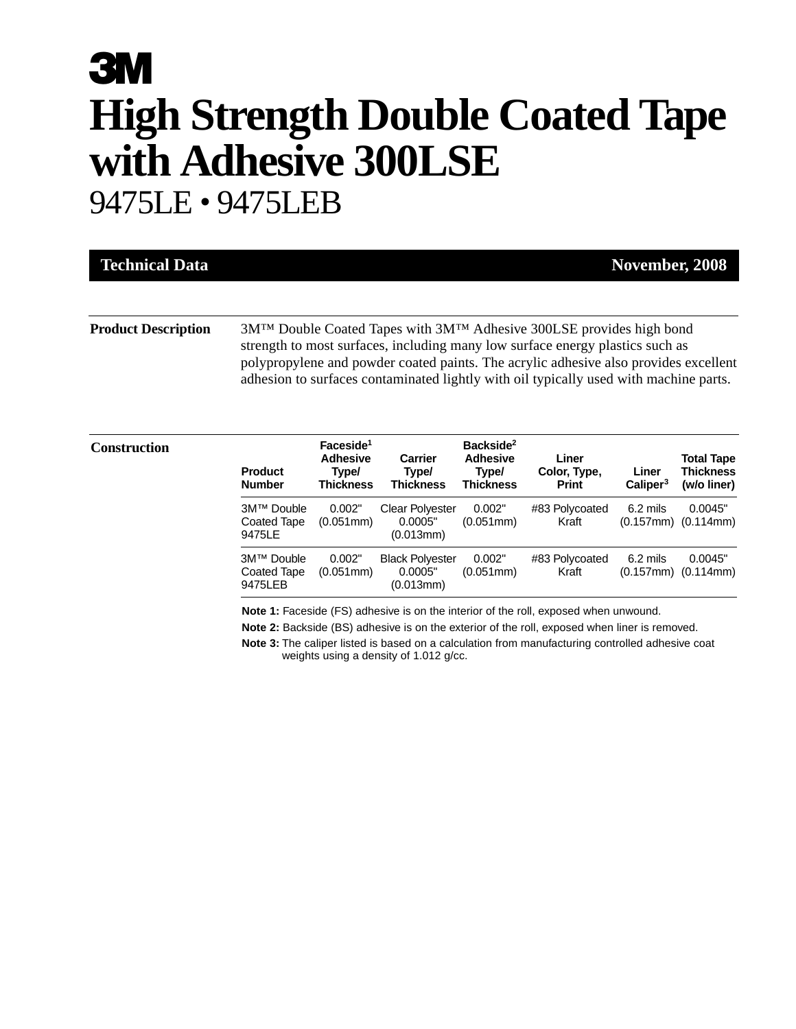# **3M High Strength Double Coated Tape with Adhesive 300LSE** 9475LE • 9475LEB

| <b>Technical Data</b>      | November, 2008                                                                                                                                                                                                                                                                                                                                                  |
|----------------------------|-----------------------------------------------------------------------------------------------------------------------------------------------------------------------------------------------------------------------------------------------------------------------------------------------------------------------------------------------------------------|
|                            |                                                                                                                                                                                                                                                                                                                                                                 |
| <b>Product Description</b> | 3M <sup>TM</sup> Double Coated Tapes with 3M <sup>TM</sup> Adhesive 300LSE provides high bond<br>strength to most surfaces, including many low surface energy plastics such as<br>polypropylene and powder coated paints. The acrylic adhesive also provides excellent<br>adhesion to surfaces contaminated lightly with oil typically used with machine parts. |

### $$

| <b>Product</b><br><b>Number</b>             | Faceside <sup>1</sup><br><b>Adhesive</b><br>Type/<br>Thickness | Carrier<br>Type/<br><b>Thickness</b>           | Backside <sup>2</sup><br><b>Adhesive</b><br>Type/<br><b>Thickness</b> | Liner<br>Color, Type,<br><b>Print</b> | Liner<br>Caliper <sup>3</sup> | <b>Total Tape</b><br><b>Thickness</b><br>(w/o liner) |
|---------------------------------------------|----------------------------------------------------------------|------------------------------------------------|-----------------------------------------------------------------------|---------------------------------------|-------------------------------|------------------------------------------------------|
| 3M™ Double<br><b>Coated Tape</b><br>9475LE  | 0.002"<br>$(0.051$ mm $)$                                      | <b>Clear Polyester</b><br>0.0005"<br>(0.013mm) | 0.002"<br>$(0.051$ mm $)$                                             | #83 Polycoated<br>Kraft               | $6.2$ mils                    | 0.0045"<br>$(0.157mm)$ $(0.114mm)$                   |
| 3M™ Double<br><b>Coated Tape</b><br>9475LEB | 0.002"<br>$(0.051$ mm $)$                                      | <b>Black Polyester</b><br>0.0005"<br>(0.013mm) | 0.002"<br>$(0.051$ mm $)$                                             | #83 Polycoated<br>Kraft               | $6.2$ mils<br>$(0.157$ mm $)$ | 0.0045"<br>(0.114mm)                                 |

**Note 1:** Faceside (FS) adhesive is on the interior of the roll, exposed when unwound.

**Note 2:** Backside (BS) adhesive is on the exterior of the roll, exposed when liner is removed.

**Note 3:** The caliper listed is based on a calculation from manufacturing controlled adhesive coat weights using a density of 1.012 g/cc.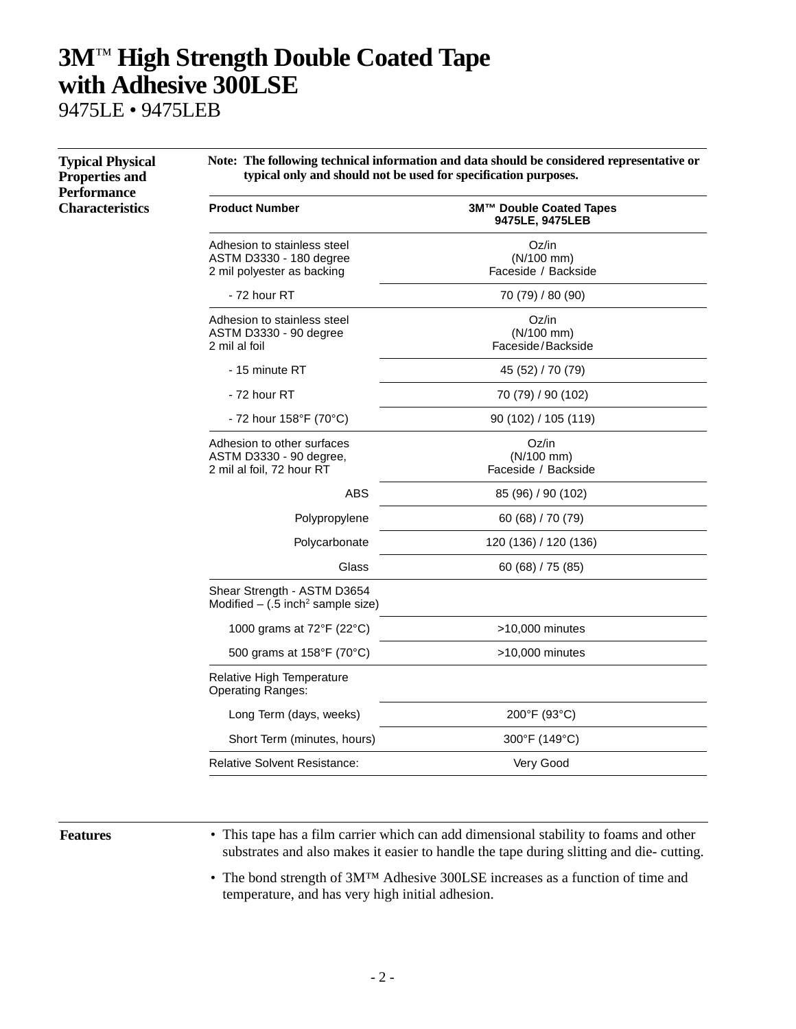## **3M**™ **High Strength Double Coated Tape with Adhesive 300LSE**

9475LE • 9475LEB

| <b>Performance</b><br><b>Characteristics</b> | <b>Product Number</b>                                                                |                                            |  |  |  |
|----------------------------------------------|--------------------------------------------------------------------------------------|--------------------------------------------|--|--|--|
|                                              |                                                                                      | 3M™ Double Coated Tapes<br>9475LE, 9475LEB |  |  |  |
|                                              | Adhesion to stainless steel<br>ASTM D3330 - 180 degree<br>2 mil polyester as backing | Oz/in<br>(N/100 mm)<br>Faceside / Backside |  |  |  |
|                                              | - 72 hour RT                                                                         | 70 (79) / 80 (90)                          |  |  |  |
|                                              | Adhesion to stainless steel<br>ASTM D3330 - 90 degree<br>2 mil al foil               | Oz/in<br>(N/100 mm)<br>Faceside/Backside   |  |  |  |
|                                              | - 15 minute RT                                                                       | 45 (52) / 70 (79)                          |  |  |  |
|                                              | - 72 hour RT                                                                         | 70 (79) / 90 (102)                         |  |  |  |
|                                              | - 72 hour $158^{\circ}$ F (70 $^{\circ}$ C)                                          | 90 (102) / 105 (119)                       |  |  |  |
|                                              | Adhesion to other surfaces<br>ASTM D3330 - 90 degree,<br>2 mil al foil, 72 hour RT   | Oz/in<br>(N/100 mm)<br>Faceside / Backside |  |  |  |
|                                              | ABS                                                                                  | 85 (96) / 90 (102)                         |  |  |  |
|                                              | Polypropylene                                                                        | 60 (68) / 70 (79)                          |  |  |  |
|                                              | Polycarbonate                                                                        | 120 (136) / 120 (136)                      |  |  |  |
|                                              | Glass                                                                                | 60(68)/75(85)                              |  |  |  |
|                                              | Shear Strength - ASTM D3654<br>Modified $-$ (.5 inch <sup>2</sup> sample size)       |                                            |  |  |  |
|                                              | 1000 grams at 72°F (22°C)                                                            | >10,000 minutes                            |  |  |  |
|                                              | 500 grams at 158°F (70°C)                                                            | $>10,000$ minutes                          |  |  |  |
|                                              | Relative High Temperature<br><b>Operating Ranges:</b>                                |                                            |  |  |  |
|                                              | Long Term (days, weeks)                                                              | 200°F (93°C)                               |  |  |  |
|                                              | Short Term (minutes, hours)                                                          | 300°F (149°C)                              |  |  |  |
|                                              | <b>Relative Solvent Resistance:</b>                                                  | Very Good                                  |  |  |  |

**Features** • This tape has a film carrier which can add dimensional stability to foams and other substrates and also makes it easier to handle the tape during slitting and die- cutting.

> • The bond strength of 3M™ Adhesive 300LSE increases as a function of time and temperature, and has very high initial adhesion.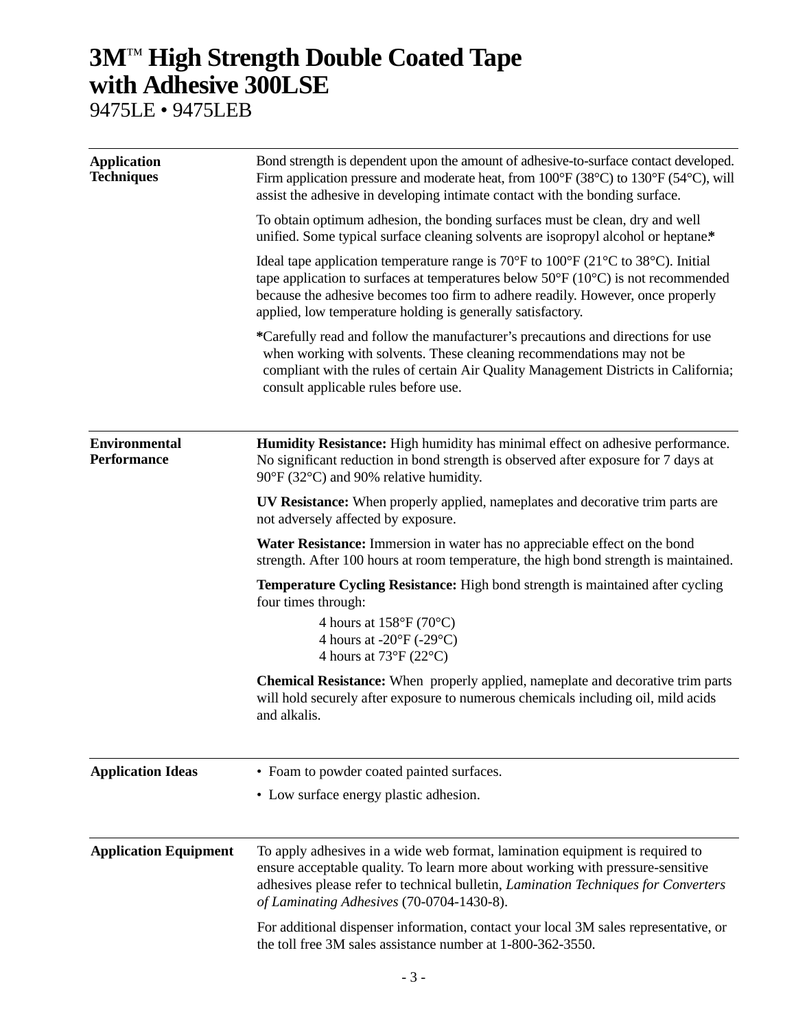### **3M**™ **High Strength Double Coated Tape with Adhesive 300LSE**

9475LE • 9475LEB

| <b>Application</b><br><b>Techniques</b>    | Bond strength is dependent upon the amount of adhesive-to-surface contact developed.<br>Firm application pressure and moderate heat, from 100°F (38°C) to 130°F (54°C), will<br>assist the adhesive in developing intimate contact with the bonding surface.                                                                                                             |  |  |  |
|--------------------------------------------|--------------------------------------------------------------------------------------------------------------------------------------------------------------------------------------------------------------------------------------------------------------------------------------------------------------------------------------------------------------------------|--|--|--|
|                                            | To obtain optimum adhesion, the bonding surfaces must be clean, dry and well<br>unified. Some typical surface cleaning solvents are isopropyl alcohol or heptane.*                                                                                                                                                                                                       |  |  |  |
|                                            | Ideal tape application temperature range is 70 $\rm{°F}$ to 100 $\rm{°F}$ (21 $\rm{°C}$ to 38 $\rm{°C}$ ). Initial<br>tape application to surfaces at temperatures below $50^{\circ}F(10^{\circ}C)$ is not recommended<br>because the adhesive becomes too firm to adhere readily. However, once properly<br>applied, low temperature holding is generally satisfactory. |  |  |  |
|                                            | *Carefully read and follow the manufacturer's precautions and directions for use<br>when working with solvents. These cleaning recommendations may not be<br>compliant with the rules of certain Air Quality Management Districts in California;<br>consult applicable rules before use.                                                                                 |  |  |  |
| <b>Environmental</b><br><b>Performance</b> | Humidity Resistance: High humidity has minimal effect on adhesive performance.<br>No significant reduction in bond strength is observed after exposure for 7 days at<br>90°F (32°C) and 90% relative humidity.                                                                                                                                                           |  |  |  |
|                                            | <b>UV Resistance:</b> When properly applied, nameplates and decorative trim parts are<br>not adversely affected by exposure.                                                                                                                                                                                                                                             |  |  |  |
|                                            | Water Resistance: Immersion in water has no appreciable effect on the bond<br>strength. After 100 hours at room temperature, the high bond strength is maintained.                                                                                                                                                                                                       |  |  |  |
|                                            | <b>Temperature Cycling Resistance:</b> High bond strength is maintained after cycling<br>four times through:                                                                                                                                                                                                                                                             |  |  |  |
|                                            | 4 hours at $158^{\circ}F(70^{\circ}C)$<br>4 hours at $-20^{\circ}F(-29^{\circ}C)$<br>4 hours at $73^{\circ}F(22^{\circ}C)$                                                                                                                                                                                                                                               |  |  |  |
|                                            | Chemical Resistance: When properly applied, nameplate and decorative trim parts<br>will hold securely after exposure to numerous chemicals including oil, mild acids<br>and alkalis.                                                                                                                                                                                     |  |  |  |
| <b>Application Ideas</b>                   | • Foam to powder coated painted surfaces.                                                                                                                                                                                                                                                                                                                                |  |  |  |
|                                            | • Low surface energy plastic adhesion.                                                                                                                                                                                                                                                                                                                                   |  |  |  |
| <b>Application Equipment</b>               | To apply adhesives in a wide web format, lamination equipment is required to<br>ensure acceptable quality. To learn more about working with pressure-sensitive<br>adhesives please refer to technical bulletin, Lamination Techniques for Converters<br>of Laminating Adhesives (70-0704-1430-8).                                                                        |  |  |  |
|                                            | For additional dispenser information, contact your local 3M sales representative, or<br>the toll free 3M sales assistance number at 1-800-362-3550.                                                                                                                                                                                                                      |  |  |  |